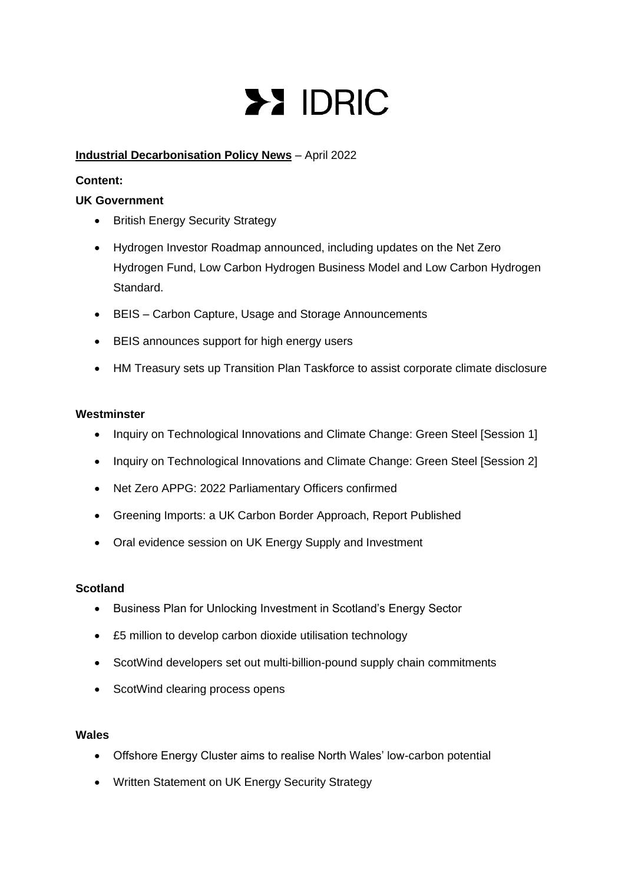# **>> IDRIC**

# **Industrial Decarbonisation Policy News** – April 2022

# **Content:**

# **UK Government**

- British Energy Security Strategy
- Hydrogen Investor Roadmap announced, including updates on the Net Zero Hydrogen Fund, Low Carbon Hydrogen Business Model and Low Carbon Hydrogen Standard.
- BEIS Carbon Capture, Usage and Storage Announcements
- BEIS announces support for high energy users
- HM Treasury sets up Transition Plan Taskforce to assist corporate climate disclosure

# **Westminster**

- Inquiry on Technological Innovations and Climate Change: Green Steel [Session 1]
- Inquiry on Technological Innovations and Climate Change: Green Steel [Session 2]
- Net Zero APPG: 2022 Parliamentary Officers confirmed
- Greening Imports: a UK Carbon Border Approach, Report Published
- Oral evidence session on UK Energy Supply and Investment

## **Scotland**

- Business Plan for Unlocking Investment in Scotland's Energy Sector
- £5 million to develop carbon dioxide utilisation technology
- ScotWind developers set out multi-billion-pound supply chain commitments
- ScotWind clearing process opens

## **Wales**

- Offshore Energy Cluster aims to realise North Wales' low-carbon potential
- Written Statement on UK Energy Security Strategy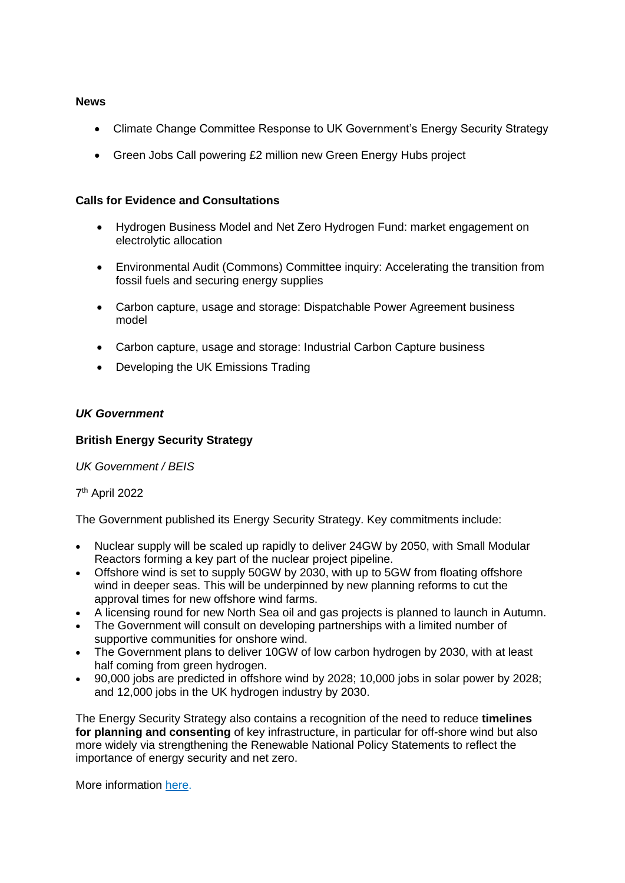#### **News**

- Climate Change Committee Response to UK Government's Energy Security Strategy
- Green Jobs Call powering £2 million new Green Energy Hubs project

## **Calls for Evidence and Consultations**

- Hydrogen Business Model and Net Zero Hydrogen Fund: market engagement on electrolytic allocation
- Environmental Audit (Commons) Committee inquiry: Accelerating the transition from fossil fuels and securing energy supplies
- Carbon capture, usage and storage: Dispatchable Power Agreement business model
- Carbon capture, usage and storage: Industrial Carbon Capture business
- Developing the UK Emissions Trading

## *UK Government*

#### **British Energy Security Strategy**

*UK Government / BEIS* 

## 7 th April 2022

The Government published its Energy Security Strategy. Key commitments include:

- Nuclear supply will be scaled up rapidly to deliver 24GW by 2050, with Small Modular Reactors forming a key part of the nuclear project pipeline.
- Offshore wind is set to supply 50GW by 2030, with up to 5GW from floating offshore wind in deeper seas. This will be underpinned by new planning reforms to cut the approval times for new offshore wind farms.
- A licensing round for new North Sea oil and gas projects is planned to launch in Autumn.
- The Government will consult on developing partnerships with a limited number of supportive communities for onshore wind.
- The Government plans to deliver 10GW of low carbon hydrogen by 2030, with at least half coming from green hydrogen.
- 90,000 jobs are predicted in offshore wind by 2028; 10,000 jobs in solar power by 2028; and 12,000 jobs in the UK hydrogen industry by 2030.

The Energy Security Strategy also contains a recognition of the need to reduce **timelines for planning and consenting** of key infrastructure, in particular for off-shore wind but also more widely via strengthening the Renewable National Policy Statements to reflect the importance of energy security and net zero.

More information [here.](https://www.gov.uk/government/news/major-acceleration-of-homegrown-power-in-britains-plan-for-greater-energy-independence)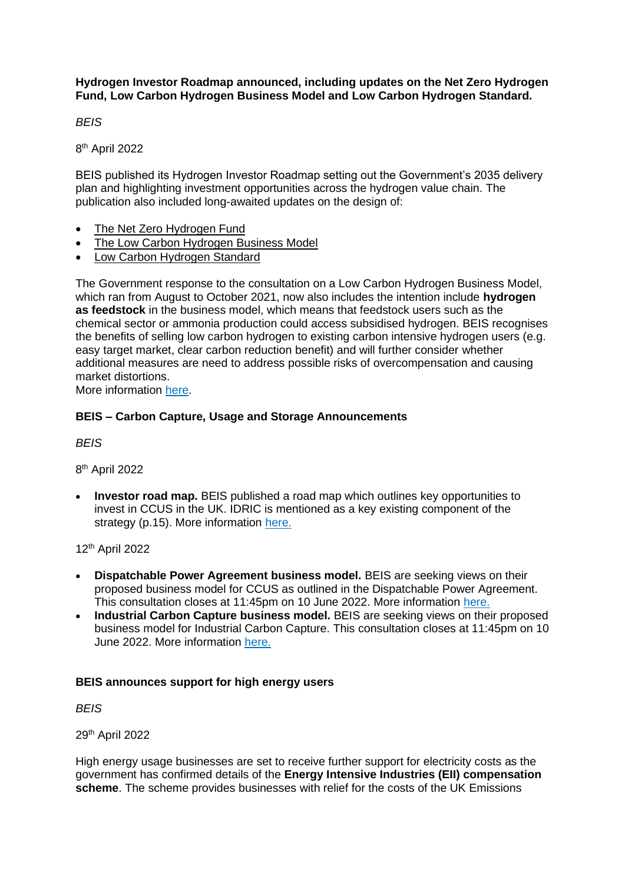**Hydrogen Investor Roadmap announced, including updates on the Net Zero Hydrogen Fund, Low Carbon Hydrogen Business Model and Low Carbon Hydrogen Standard.** 

*BEIS*

8 th April 2022

BEIS published its Hydrogen Investor Roadmap setting out the Government's 2035 delivery plan and highlighting investment opportunities across the hydrogen value chain. The publication also included long-awaited updates on the design of:

- [The Net Zero Hydrogen Fund](https://www.gov.uk/government/consultations/designing-the-net-zero-hydrogen-fund)
- [The Low Carbon Hydrogen Business Model](https://www.gov.uk/government/consultations/design-of-a-business-model-for-low-carbon-hydrogen)
- [Low Carbon Hydrogen Standard](https://www.gov.uk/government/consultations/designing-a-uk-low-carbon-hydrogen-standard)

The Government response to the consultation on a Low Carbon Hydrogen Business Model, which ran from August to October 2021, now also includes the intention include **hydrogen as feedstock** in the business model, which means that feedstock users such as the chemical sector or ammonia production could access subsidised hydrogen. BEIS recognises the benefits of selling low carbon hydrogen to existing carbon intensive hydrogen users (e.g. easy target market, clear carbon reduction benefit) and will further consider whether additional measures are need to address possible risks of overcompensation and causing market distortions.

More information [here.](https://www.gov.uk/government/publications/hydrogen-investor-roadmap-leading-the-way-to-net-zero)

# **BEIS – Carbon Capture, Usage and Storage Announcements**

*BEIS*

8 th April 2022

• **Investor road map.** BEIS published a road map which outlines key opportunities to invest in CCUS in the UK. IDRIC is mentioned as a key existing component of the strategy (p.15). More information [here.](https://www.gov.uk/government/publications/carbon-capture-usage-and-storage-ccus-investor-roadmap)

12th April 2022

- **Dispatchable Power Agreement business model.** BEIS are seeking views on their proposed business model for CCUS as outlined in the Dispatchable Power Agreement. This consultation closes at 11:45pm on 10 June 2022. More information [here.](https://www.gov.uk/government/consultations/carbon-capture-usage-and-storage-ccus-dispatchable-power-agreement-business-model)
- **Industrial Carbon Capture business model.** BEIS are seeking views on their proposed business model for Industrial Carbon Capture. This consultation closes at 11:45pm on 10 June 2022. More information [here.](https://www.gov.uk/government/consultations/carbon-capture-usage-and-storage-ccus-industrial-carbon-capture-business-model)

## **BEIS announces support for high energy users**

*BEIS*

29th April 2022

High energy usage businesses are set to receive further support for electricity costs as the government has confirmed details of the **Energy Intensive Industries (EII) compensation scheme**. The scheme provides businesses with relief for the costs of the UK Emissions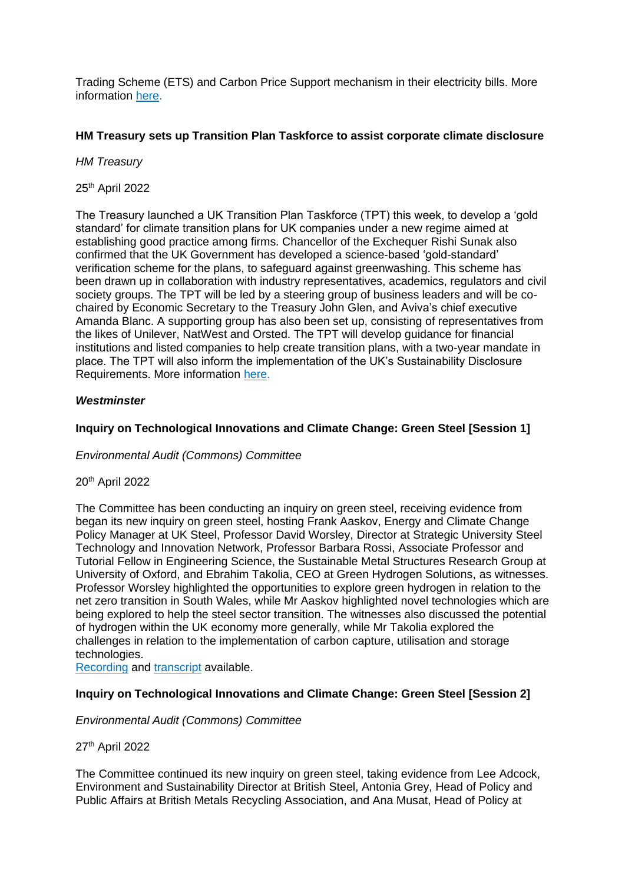Trading Scheme (ETS) and Carbon Price Support mechanism in their electricity bills. More information [here.](https://www.gov.uk/government/news/high-energy-usage-businesses-to-benefit-from-further-government-support)

# **HM Treasury sets up Transition Plan Taskforce to assist corporate climate disclosure**

## *HM Treasury*

# 25th April 2022

The Treasury launched a UK Transition Plan Taskforce (TPT) this week, to develop a 'gold standard' for climate transition plans for UK companies under a new regime aimed at establishing good practice among firms. Chancellor of the Exchequer Rishi Sunak also confirmed that the UK Government has developed a science-based 'gold-standard' verification scheme for the plans, to safeguard against greenwashing. This scheme has been drawn up in collaboration with industry representatives, academics, regulators and civil society groups. The TPT will be led by a steering group of business leaders and will be cochaired by Economic Secretary to the Treasury John Glen, and Aviva's chief executive Amanda Blanc. A supporting group has also been set up, consisting of representatives from the likes of Unilever, NatWest and Orsted. The TPT will develop guidance for financial institutions and listed companies to help create transition plans, with a two-year mandate in place. The TPT will also inform the implementation of the UK's Sustainability Disclosure Requirements. More information [here.](https://www.edie.net/treasury-sets-up-transition-plan-taskforce-to-assist-corporate-climate-disclosure/)

## *Westminster*

# **Inquiry on Technological Innovations and Climate Change: Green Steel [Session 1]**

## *Environmental Audit (Commons) Committee*

# 20th April 2022

The Committee has been conducting an inquiry on green steel, receiving evidence from began its new inquiry on green steel, hosting Frank Aaskov, Energy and Climate Change Policy Manager at UK Steel, Professor David Worsley, Director at Strategic University Steel Technology and Innovation Network, Professor Barbara Rossi, Associate Professor and Tutorial Fellow in Engineering Science, the Sustainable Metal Structures Research Group at University of Oxford, and Ebrahim Takolia, CEO at Green Hydrogen Solutions, as witnesses. Professor Worsley highlighted the opportunities to explore green hydrogen in relation to the net zero transition in South Wales, while Mr Aaskov highlighted novel technologies which are being explored to help the steel sector transition. The witnesses also discussed the potential of hydrogen within the UK economy more generally, while Mr Takolia explored the challenges in relation to the implementation of carbon capture, utilisation and storage technologies.

[Recording](https://parliamentlive.tv/event/index/7740edc0-61f5-4afb-81fd-21b24ab9487b) and [transcript](https://committees.parliament.uk/oralevidence/10109/pdf/) available.

## **Inquiry on Technological Innovations and Climate Change: Green Steel [Session 2]**

## *Environmental Audit (Commons) Committee*

## 27th April 2022

The Committee continued its new inquiry on green steel, taking evidence from Lee Adcock, Environment and Sustainability Director at British Steel, Antonia Grey, Head of Policy and Public Affairs at British Metals Recycling Association, and Ana Musat, Head of Policy at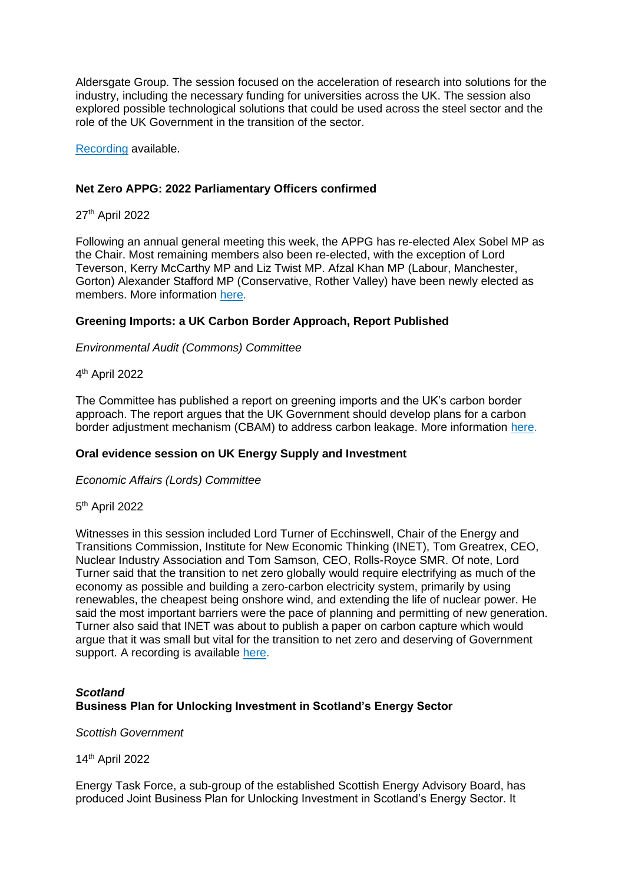Aldersgate Group. The session focused on the acceleration of research into solutions for the industry, including the necessary funding for universities across the UK. The session also explored possible technological solutions that could be used across the steel sector and the role of the UK Government in the transition of the sector.

[Recording](https://parliamentlive.tv/event/index/595742f6-3c32-412b-873f-d5acfe5df760) available.

#### **Net Zero APPG: 2022 Parliamentary Officers confirmed**

27th April 2022

Following an annual general meeting this week, the APPG has re-elected Alex Sobel MP as the Chair. Most remaining members also been re-elected, with the exception of Lord Teverson, Kerry McCarthy MP and Liz Twist MP. Afzal Khan MP (Labour, Manchester, Gorton) Alexander Stafford MP (Conservative, Rother Valley) have been newly elected as members. More information [here.](https://twitter.com/NetZeroAPPG/status/1519356050641666048)

#### **Greening Imports: a UK Carbon Border Approach, Report Published**

#### *Environmental Audit (Commons) Committee*

4 th April 2022

The Committee has published a report on greening imports and the UK's carbon border approach. The report argues that the UK Government should develop plans for a carbon border adjustment mechanism (CBAM) to address carbon leakage. More information [here.](https://committees.parliament.uk/publications/9570/documents/162115/default)

## **Oral evidence session on UK Energy Supply and Investment**

*Economic Affairs (Lords) Committee*

#### 5<sup>th</sup> April 2022

Witnesses in this session included Lord Turner of Ecchinswell, Chair of the Energy and Transitions Commission, Institute for New Economic Thinking (INET), Tom Greatrex, CEO, Nuclear Industry Association and Tom Samson, CEO, Rolls-Royce SMR. Of note, Lord Turner said that the transition to net zero globally would require electrifying as much of the economy as possible and building a zero-carbon electricity system, primarily by using renewables, the cheapest being onshore wind, and extending the life of nuclear power. He said the most important barriers were the pace of planning and permitting of new generation. Turner also said that INET was about to publish a paper on carbon capture which would argue that it was small but vital for the transition to net zero and deserving of Government support. A recording is available [here.](https://parliamentlive.tv/event/index/90d66d62-f539-41ae-8165-65b6628265b2)

# *Scotland* **Business Plan for Unlocking Investment in Scotland's Energy Sector**

*Scottish Government*

14th April 2022

Energy Task Force, a sub-group of the established Scottish Energy Advisory Board, has produced Joint Business Plan for Unlocking Investment in Scotland's Energy Sector. It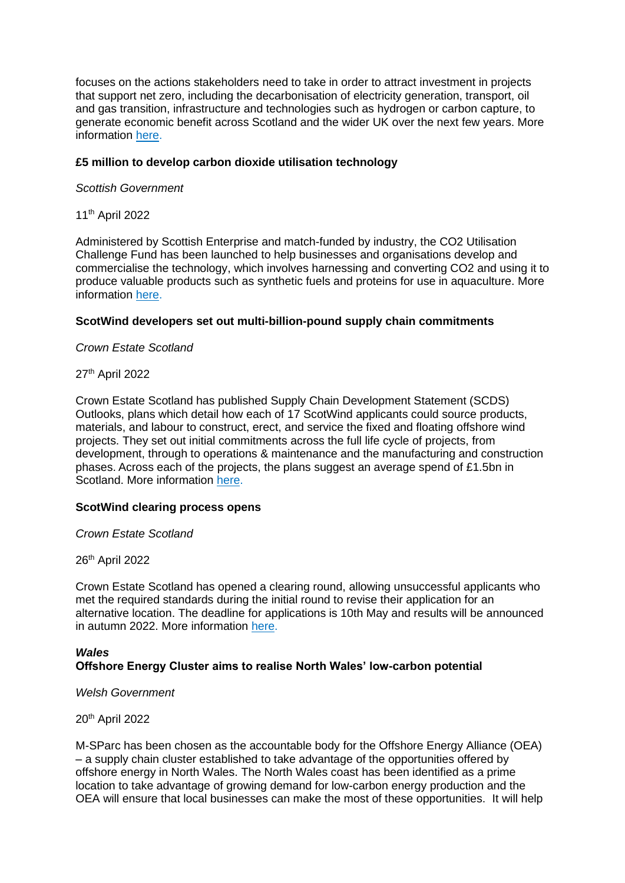focuses on the actions stakeholders need to take in order to attract investment in projects that support net zero, including the decarbonisation of electricity generation, transport, oil and gas transition, infrastructure and technologies such as hydrogen or carbon capture, to generate economic benefit across Scotland and the wider UK over the next few years. More information [here.](https://www.gov.scot/binaries/content/documents/govscot/publications/strategy-plan/2022/04/joint-business-plan-unlocking-investment-scotlands-energy-sector/documents/joint-business-plan-unlocking-investment-scotlands-energy-sector/joint-business-plan-unlocking-investment-scotlands-energy-sector/govscot%3Adocument/joint-business-plan-unlocking-investment-scotlands-energy-sector.pdf)

#### **£5 million to develop carbon dioxide utilisation technology**

*Scottish Government* 

11th April 2022

Administered by Scottish Enterprise and match-funded by industry, the CO2 Utilisation Challenge Fund has been launched to help businesses and organisations develop and commercialise the technology, which involves harnessing and converting CO2 and using it to produce valuable products such as synthetic fuels and proteins for use in aquaculture. More information [here.](https://www.gov.scot/news/gbp-5-million-to-develop-carbon-dioxide-utilisation-technology/)

#### **ScotWind developers set out multi-billion-pound supply chain commitments**

*Crown Estate Scotland*

27th April 2022

Crown Estate Scotland has published Supply Chain Development Statement (SCDS) Outlooks, plans which detail how each of 17 ScotWind applicants could source products, materials, and labour to construct, erect, and service the fixed and floating offshore wind projects. They set out initial commitments across the full life cycle of projects, from development, through to operations & maintenance and the manufacturing and construction phases. Across each of the projects, the plans suggest an average spend of £1.5bn in Scotland. More information [here.](https://www.crownestatescotland.com/news/scotwind-developers-set-out-multi-billion-pound-supply-chain-commitments)

#### **ScotWind clearing process opens**

*Crown Estate Scotland*

26th April 2022

Crown Estate Scotland has opened a clearing round, allowing unsuccessful applicants who met the required standards during the initial round to revise their application for an alternative location. The deadline for applications is 10th May and results will be announced in autumn 2022. More information [here.](https://www.crownestatescotland.com/news/scotwind-clearing-process-opens)

#### *Wales* **Offshore Energy Cluster aims to realise North Wales' low-carbon potential**

*Welsh Government*

20th April 2022

M-SParc has been chosen as the accountable body for the Offshore Energy Alliance (OEA) – a supply chain cluster established to take advantage of the opportunities offered by offshore energy in North Wales. The North Wales coast has been identified as a prime location to take advantage of growing demand for low-carbon energy production and the OEA will ensure that local businesses can make the most of these opportunities. It will help